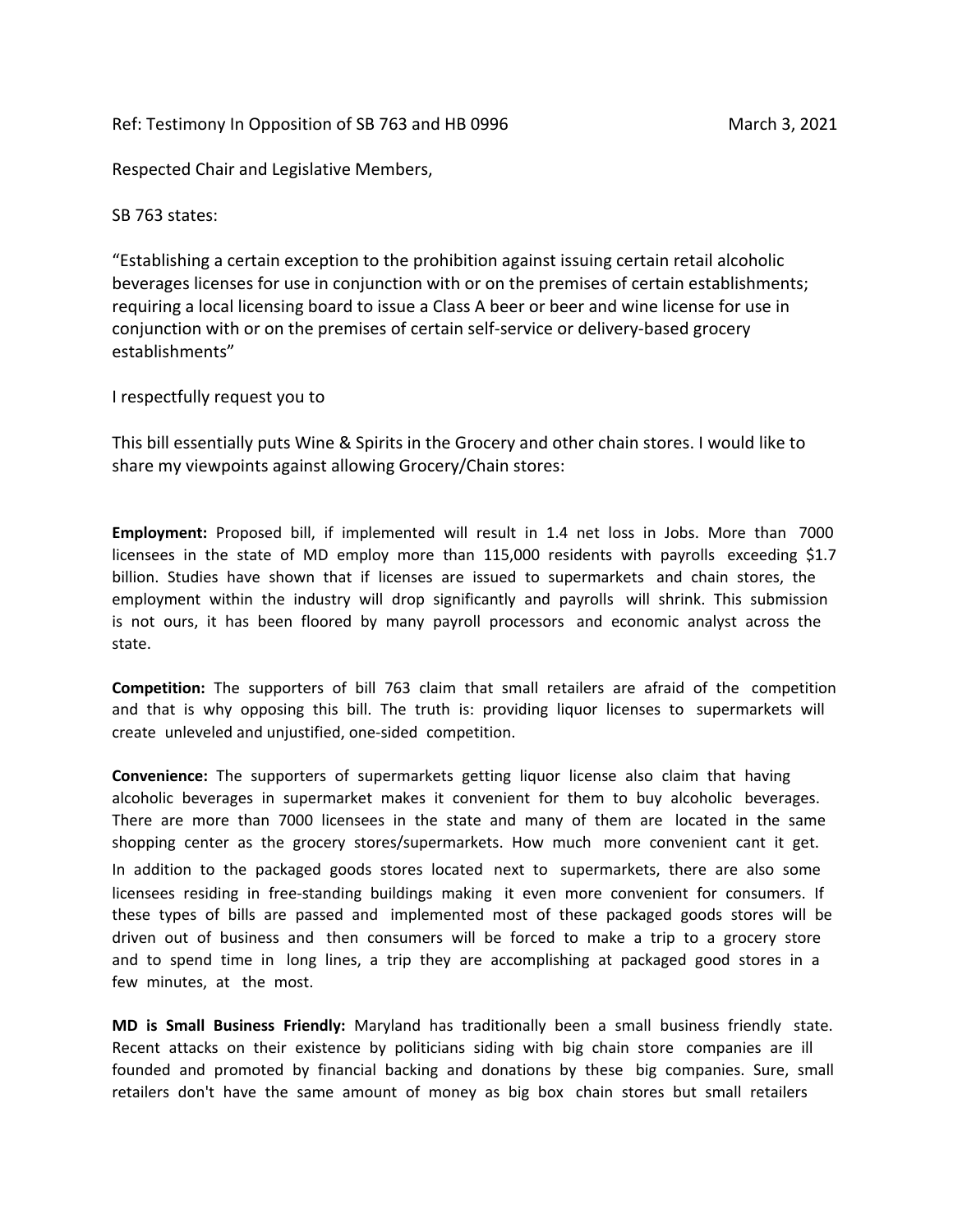Ref: Testimony In Opposition of SB 763 and HB 0996 March 3, 2021

Respected Chair and Legislative Members,

SB 763 states:

"Establishing a certain exception to the prohibition against issuing certain retail alcoholic beverages licenses for use in conjunction with or on the premises of certain establishments; requiring a local licensing board to issue a Class A beer or beer and wine license for use in conjunction with or on the premises of certain self-service or delivery-based grocery establishments"

I respectfully request you to

This bill essentially puts Wine & Spirits in the Grocery and other chain stores. I would like to share my viewpoints against allowing Grocery/Chain stores:

**Employment:** Proposed bill, if implemented will result in 1.4 net loss in Jobs. More than 7000 licensees in the state of MD employ more than 115,000 residents with payrolls exceeding \$1.7 billion. Studies have shown that if licenses are issued to supermarkets and chain stores, the employment within the industry will drop significantly and payrolls will shrink. This submission is not ours, it has been floored by many payroll processors and economic analyst across the state.

**Competition:** The supporters of bill 763 claim that small retailers are afraid of the competition and that is why opposing this bill. The truth is: providing liquor licenses to supermarkets will create unleveled and unjustified, one-sided competition.

**Convenience:** The supporters of supermarkets getting liquor license also claim that having alcoholic beverages in supermarket makes it convenient for them to buy alcoholic beverages. There are more than 7000 licensees in the state and many of them are located in the same shopping center as the grocery stores/supermarkets. How much more convenient cant it get. In addition to the packaged goods stores located next to supermarkets, there are also some licensees residing in free-standing buildings making it even more convenient for consumers. If these types of bills are passed and implemented most of these packaged goods stores will be driven out of business and then consumers will be forced to make a trip to a grocery store and to spend time in long lines, a trip they are accomplishing at packaged good stores in a few minutes, at the most.

**MD is Small Business Friendly:** Maryland has traditionally been a small business friendly state. Recent attacks on their existence by politicians siding with big chain store companies are ill founded and promoted by financial backing and donations by these big companies. Sure, small retailers don't have the same amount of money as big box chain stores but small retailers